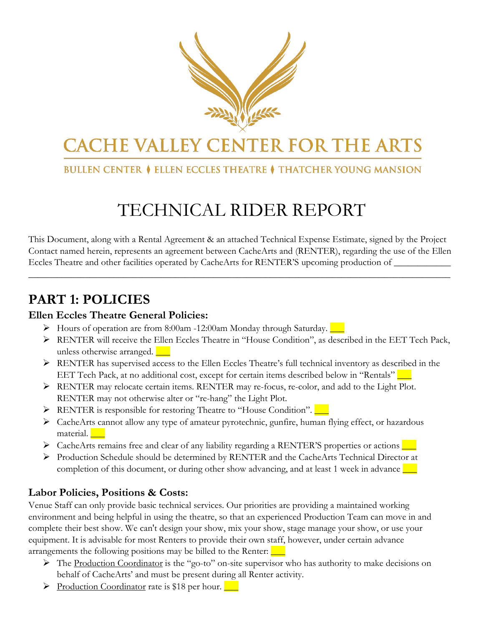

# **CACHE VALLEY CENTER FOR THE ARTS**

#### **BULLEN CENTER ♦ ELLEN ECCLES THEATRE ♦ THATCHER YOUNG MANSION**

# TECHNICAL RIDER REPORT

This Document, along with a Rental Agreement & an attached Technical Expense Estimate, signed by the Project Contact named herein, represents an agreement between CacheArts and (RENTER), regarding the use of the Ellen Eccles Theatre and other facilities operated by CacheArts for RENTER'S upcoming production of \_\_\_\_\_\_\_\_\_\_\_\_\_\_\_

\_\_\_\_\_\_\_\_\_\_\_\_\_\_\_\_\_\_\_\_\_\_\_\_\_\_\_\_\_\_\_\_\_\_\_\_\_\_\_\_\_\_\_\_\_\_\_\_\_\_\_\_\_\_\_\_\_\_\_\_\_\_\_\_\_\_\_\_\_\_\_\_\_\_\_\_\_\_\_\_\_\_\_\_\_\_\_\_\_

### **PART 1: POLICIES**

#### **Ellen Eccles Theatre General Policies:**

- $\triangleright$  Hours of operation are from 8:00am -12:00am Monday through Saturday.
- RENTER will receive the Ellen Eccles Theatre in "House Condition", as described in the EET Tech Pack, unless otherwise arranged.  $\Box$
- RENTER has supervised access to the Ellen Eccles Theatre's full technical inventory as described in the EET Tech Pack, at no additional cost, except for certain items described below in "Rentals"  $\Box$
- RENTER may relocate certain items. RENTER may re-focus, re-color, and add to the Light Plot. RENTER may not otherwise alter or "re-hang" the Light Plot.
- RENTER is responsible for restoring Theatre to "House Condition".
- CacheArts cannot allow any type of amateur pyrotechnic, gunfire, human flying effect, or hazardous material.
- > CacheArts remains free and clear of any liability regarding a RENTER'S properties or actions
- Production Schedule should be determined by RENTER and the CacheArts Technical Director at completion of this document, or during other show advancing, and at least 1 week in advance  $\Box$

#### **Labor Policies, Positions & Costs:**

Venue Staff can only provide basic technical services. Our priorities are providing a maintained working environment and being helpful in using the theatre, so that an experienced Production Team can move in and complete their best show. We can't design your show, mix your show, stage manage your show, or use your equipment. It is advisable for most Renters to provide their own staff, however, under certain advance arrangements the following positions may be billed to the Renter:  $\frac{\ }{\ }$ 

- $\triangleright$  The Production Coordinator is the "go-to" on-site supervisor who has authority to make decisions on behalf of CacheArts' and must be present during all Renter activity.
- $\triangleright$  Production Coordinator rate is \$18 per hour.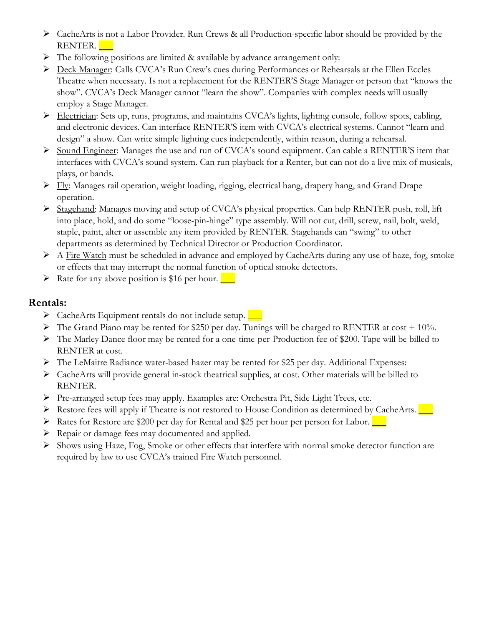- CacheArts is not a Labor Provider. Run Crews & all Production-specific labor should be provided by the RENTER.
- $\triangleright$  The following positions are limited & available by advance arrangement only:
- P Deck Manager: Calls CVCA's Run Crew's cues during Performances or Rehearsals at the Ellen Eccles Theatre when necessary. Is not a replacement for the RENTER'S Stage Manager or person that "knows the show". CVCA's Deck Manager cannot "learn the show". Companies with complex needs will usually employ a Stage Manager.
- Electrician: Sets up, runs, programs, and maintains CVCA's lights, lighting console, follow spots, cabling, and electronic devices. Can interface RENTER'S item with CVCA's electrical systems. Cannot "learn and design" a show. Can write simple lighting cues independently, within reason, during a rehearsal.
- Sound Engineer: Manages the use and run of CVCA's sound equipment. Can cable a RENTER'S item that interfaces with CVCA's sound system. Can run playback for a Renter, but can not do a live mix of musicals, plays, or bands.
- $\triangleright$  Fly: Manages rail operation, weight loading, rigging, electrical hang, drapery hang, and Grand Drape operation.
- Stagehand: Manages moving and setup of CVCA's physical properties. Can help RENTER push, roll, lift into place, hold, and do some "loose-pin-hinge" type assembly. Will not cut, drill, screw, nail, bolt, weld, staple, paint, alter or assemble any item provided by RENTER. Stagehands can "swing" to other departments as determined by Technical Director or Production Coordinator.
- $\triangleright$  A Fire Watch must be scheduled in advance and employed by CacheArts during any use of haze, fog, smoke or effects that may interrupt the normal function of optical smoke detectors.
- $\triangleright$  Rate for any above position is \$16 per hour.

#### **Rentals:**

- $\triangleright$  CacheArts Equipment rentals do not include setup.
- $\triangleright$  The Grand Piano may be rented for \$250 per day. Tunings will be charged to RENTER at cost + 10%.
- The Marley Dance floor may be rented for a one-time-per-Production fee of \$200. Tape will be billed to RENTER at cost.
- The LeMaitre Radiance water-based hazer may be rented for \$25 per day. Additional Expenses:
- $\triangleright$  CacheArts will provide general in-stock theatrical supplies, at cost. Other materials will be billed to RENTER.
- Pre-arranged setup fees may apply. Examples are: Orchestra Pit, Side Light Trees, etc.
- Restore fees will apply if Theatre is not restored to House Condition as determined by CacheArts.  $\Box$
- $\triangleright$  Rates for Restore are \$200 per day for Rental and \$25 per hour per person for Labor.
- Repair or damage fees may documented and applied.
- Shows using Haze, Fog, Smoke or other effects that interfere with normal smoke detector function are required by law to use CVCA's trained Fire Watch personnel.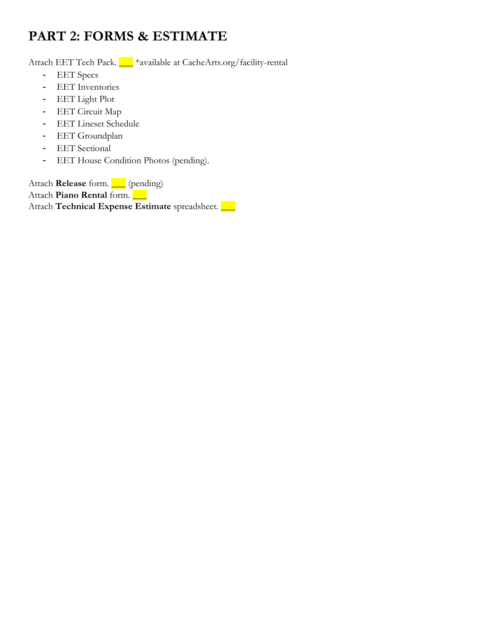## **PART 2: FORMS & ESTIMATE**

Attach EET Tech Pack. <u>We say a sailable at CacheArts.org/facility-rental</u>

- **EET** Specs
- **EET** Inventories
- EET Light Plot
- EET Circuit Map
- EET Lineset Schedule
- **EET** Groundplan
- **EET** Sectional
- EET House Condition Photos (pending).

Attach **Release** form. 1 (pending) Attach **Piano Rental** form. Attach **Technical Expense Estimate** spreadsheet.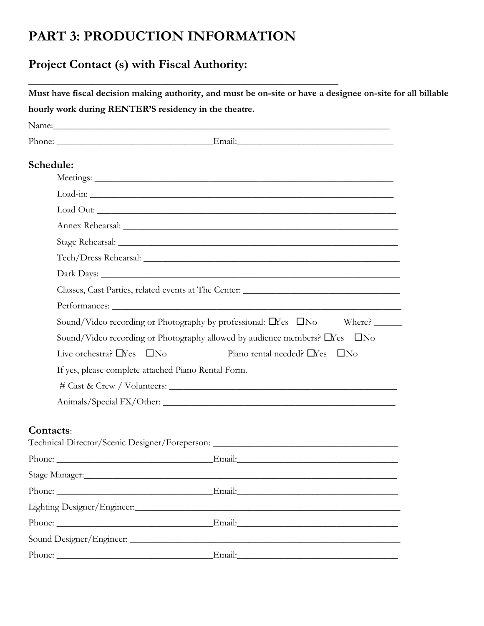### **PART 3: PRODUCTION INFORMATION**

### **Project Contact (s) with Fiscal Authority:**

| Must have fiscal decision making authority, and must be on-site or have a designee on-site for all billable |
|-------------------------------------------------------------------------------------------------------------|
| hourly work during RENTER'S residency in the theatre.                                                       |

| Schedule:      |                                                                                                                |
|----------------|----------------------------------------------------------------------------------------------------------------|
|                |                                                                                                                |
|                |                                                                                                                |
|                |                                                                                                                |
|                |                                                                                                                |
|                |                                                                                                                |
|                |                                                                                                                |
|                |                                                                                                                |
|                | Classes, Cast Parties, related events at The Center: ____________________________                              |
|                |                                                                                                                |
|                | Sound/Video recording or Photography by professional: □ Nes □ No<br>Where?                                     |
|                | Sound/Video recording or Photography allowed by audience members? □ Yes □ No                                   |
|                | Live orchestra? $\Box$ Yes $\Box$ No<br>Piano rental needed? $\Box$ Yes $\Box$ No                              |
|                | If yes, please complete attached Piano Rental Form.                                                            |
|                |                                                                                                                |
|                |                                                                                                                |
|                |                                                                                                                |
| Contacts:      |                                                                                                                |
|                | Technical Director/Scenic Designer/Foreperson: _________________________________                               |
|                | Phone:                                                                                                         |
| Stage Manager: |                                                                                                                |
|                | Email: Contained a local contains a local contains a local contained a local contains a local contains a local |
|                |                                                                                                                |
|                |                                                                                                                |
|                |                                                                                                                |
|                |                                                                                                                |